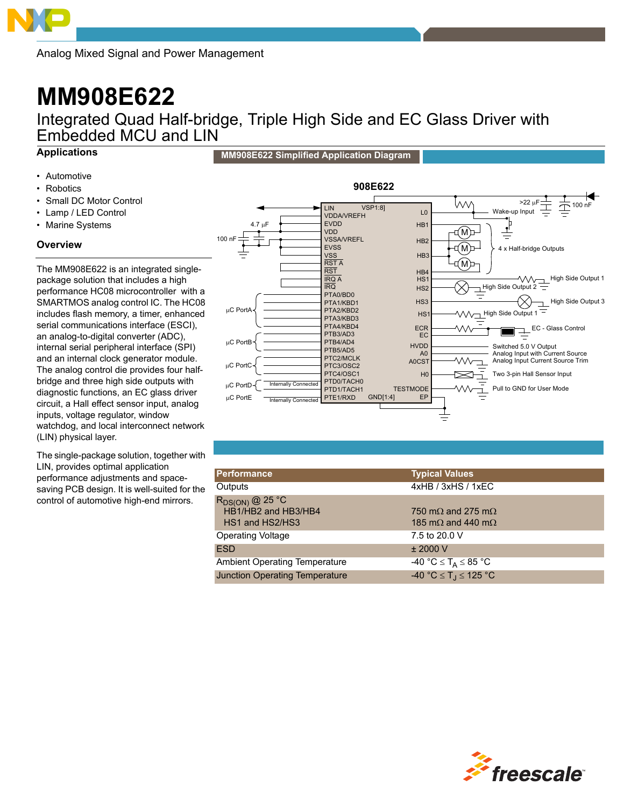Analog Mixed Signal and Power Management

# **MM908E622**

Integrated Quad Half-bridge, Triple High Side and EC Glass Driver with Embedded MCU and LIN

# **Applications**

- Automotive
- **Robotics**
- Small DC Motor Control
- Lamp / LED Control
- Marine Systems

# **Overview**

The MM908E622 is an integrated singlepackage solution that includes a high performance HC08 microcontroller with a SMARTMOS analog control IC. The HC08 includes flash memory, a timer, enhanced serial communications interface (ESCI), an analog-to-digital converter (ADC), internal serial peripheral interface (SPI) and an internal clock generator module. The analog control die provides four halfbridge and three high side outputs with diagnostic functions, an EC glass driver circuit, a Hall effect sensor input, analog inputs, voltage regulator, window watchdog, and local interconnect network (LIN) physical layer.

The single-package solution, together with LIN, provides optimal application performance adjustments and spacesaving PCB design. It is well-suited for the control of automotive high-end mirrors.



| <b>Performance</b>                                             | <b>Typical Values</b>                                                  |
|----------------------------------------------------------------|------------------------------------------------------------------------|
| Outputs                                                        | 4xHB / 3xHS / 1xEC                                                     |
| $R_{DS(ON)}$ @ 25 °C<br>HB1/HB2 and HB3/HB4<br>HS1 and HS2/HS3 | 750 m $\Omega$ and 275 m $\Omega$<br>185 m $\Omega$ and 440 m $\Omega$ |
| <b>Operating Voltage</b>                                       | 7.5 to 20.0 V                                                          |
| <b>ESD</b>                                                     | ± 2000 V                                                               |
| <b>Ambient Operating Temperature</b>                           | -40 °C $\leq$ T <sub>A</sub> $\leq$ 85 °C                              |
| <b>Junction Operating Temperature</b>                          | $-40 °C \le T_J \le 125 °C$                                            |



**MM908E622 Simplified Application Diagram**